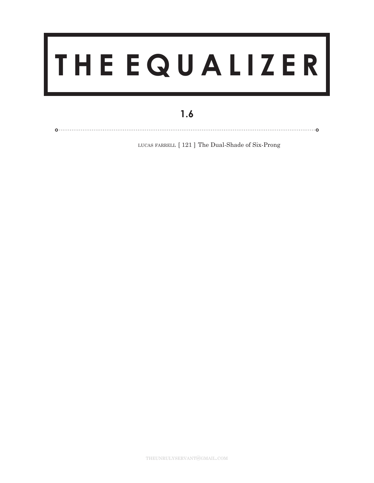## **T H E E Q U A L I Z E R**

## **1.6**

lucas farrell [ 121 ] The Dual-Shade of Six-Prong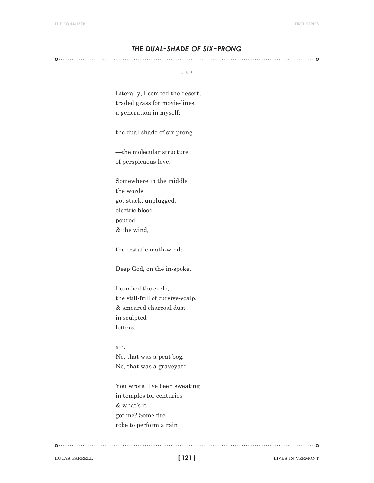## *the dual-shade of six-prong*

\* \* \*

Literally, I combed the desert, traded grass for movie-lines, a generation in myself:

the dual-shade of six-prong

—the molecular structure of perspicuous love.

Somewhere in the middle the words got stuck, unplugged, electric blood poured & the wind,

the ecstatic math-wind:

Deep God, on the in-spoke.

I combed the curls, the still-frill of cursive-scalp, & smeared charcoal dust in sculpted letters,

## air. No, that was a peat bog. No, that was a graveyard.

You wrote, I've been sweating in temples for centuries & what's it got me? Some firerobe to perform a rain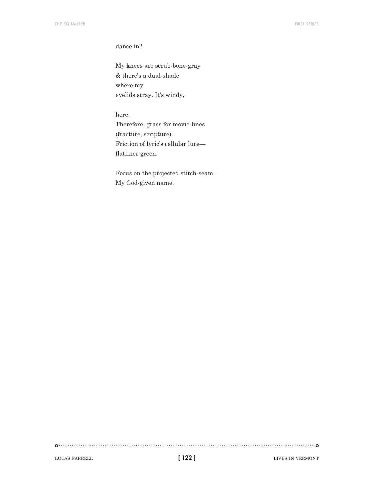dance in?

My knees are scrub-bone-gray & there's a dual-shade where my eyelids stray. It's windy,

here. Therefore, grass for movie-lines (fracture, scripture). Friction of lyric's cellular lure flatliner green.

Focus on the projected stitch-seam. My God-given name.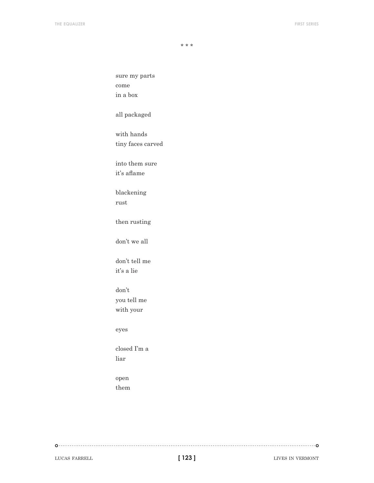sure my parts come in a box all packaged with hands tiny faces carved into them sure it's aflame blackening rust then rusting don't we all don't tell me it's a lie don't you tell me with your eyes closed I'm a liar open

them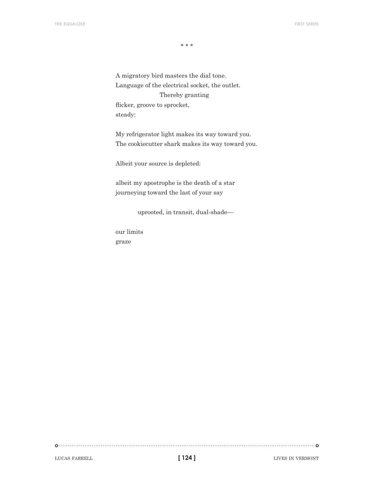A migratory bird masters the dial tone. Language of the electrical socket, the outlet. Thereby granting flicker, groove to sprocket, steady:

My refrigerator light makes its way toward you. The cookiecutter shark makes its way toward you.

Albeit your source is depleted:

albeit my apostrophe is the death of a star journeying toward the last of your say

uprooted, in transit, dual-shade—

our limits graze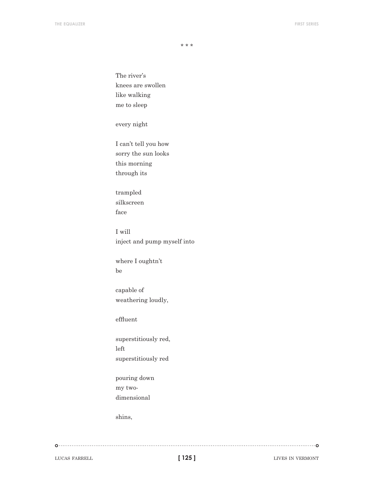The river's knees are swollen like walking me to sleep

every night

I can't tell you how sorry the sun looks this morning through its

trampled silkscreen face

I will inject and pump myself into

where I oughtn't be

capable of weathering loudly,

effluent

superstitiously red, left superstitiously red

pouring down my twodimensional

shins,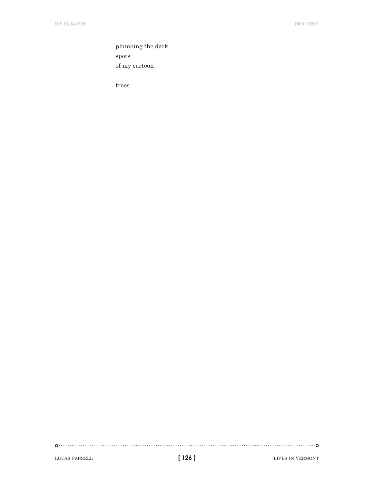plumbing the dark spots of my cartoon

trees

**[ 126 ]**

 $\begin{picture}(100,100)(0,0) \put(0,0){\vector(1,0){100}} \put(10,0){\vector(1,0){100}} \put(10,0){\vector(1,0){100}} \put(10,0){\vector(1,0){100}} \put(10,0){\vector(1,0){100}} \put(10,0){\vector(1,0){100}} \put(10,0){\vector(1,0){100}} \put(10,0){\vector(1,0){100}} \put(10,0){\vector(1,0){100}} \put(10,0){\vector(1,0){100}} \put(10,0){\vector(1,0$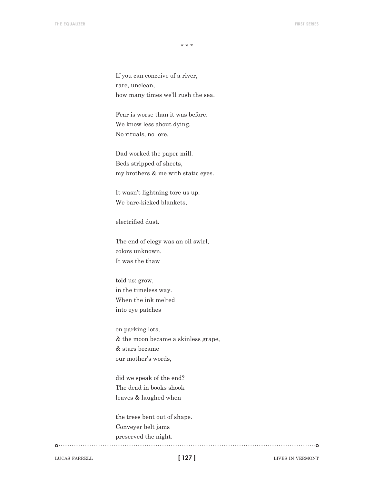If you can conceive of a river, rare, unclean, how many times we'll rush the sea.

Fear is worse than it was before. We know less about dying. No rituals, no lore.

Dad worked the paper mill. Beds stripped of sheets, my brothers & me with static eyes.

It wasn't lightning tore us up. We bare-kicked blankets,

electrified dust.

The end of elegy was an oil swirl, colors unknown. It was the thaw

told us: grow, in the timeless way. When the ink melted into eye patches

on parking lots, & the moon became a skinless grape, & stars became our mother's words,

did we speak of the end? The dead in books shook leaves & laughed when

the trees bent out of shape. Conveyer belt jams preserved the night.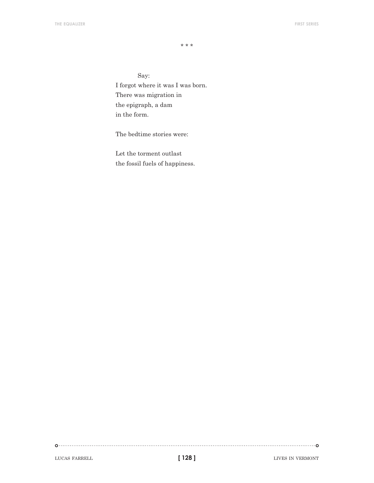Say: I forgot where it was I was born. There was migration in the epigraph, a dam in the form.

The bedtime stories were:

Let the torment outlast the fossil fuels of happiness.

LUCAS FARRELL **128 128 128 128 128 128 128 128 128 128 128 128 128 128 128 128 128 128 128 128 128 128 128 128 128 128 128 128 128 128 128 128 128 128 128**